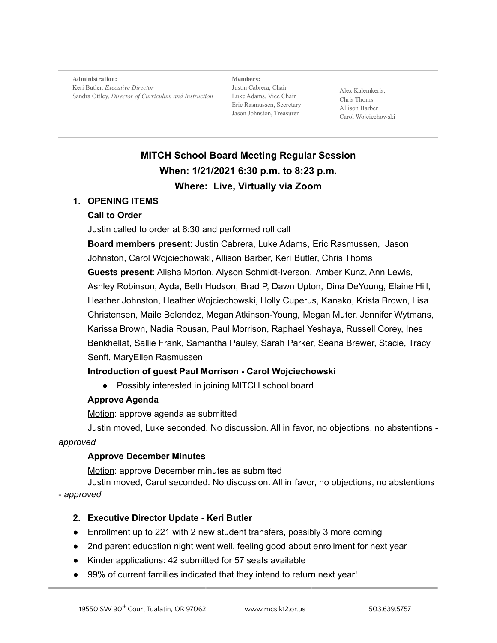**Administration:** Keri Butler, *Executive Director* Sandra Ottley, *Director of Curriculum and Instruction*

**Members:** Justin Cabrera, Chair Luke Adams, Vice Chair Eric Rasmussen, Secretary Jason Johnston, Treasurer

Alex Kalemkeris, Chris Thoms Allison Barber Carol Wojciechowski

# **MITCH School Board Meeting Regular Session When: 1/21/2021 6:30 p.m. to 8:23 p.m. Where: Live, Virtually via Zoom**

#### **1. OPENING ITEMS**

#### **Call to Order**

Justin called to order at 6:30 and performed roll call

**Board members present**: Justin Cabrera, Luke Adams, Eric Rasmussen, Jason Johnston, Carol Wojciechowski, Allison Barber, Keri Butler, Chris Thoms **Guests present**: Alisha Morton, Alyson Schmidt-Iverson, Amber Kunz, Ann Lewis, Ashley Robinson, Ayda, Beth Hudson, Brad P, Dawn Upton, Dina DeYoung, Elaine Hill, Heather Johnston, Heather Wojciechowski, Holly Cuperus, Kanako, Krista Brown, Lisa Christensen, Maile Belendez, Megan Atkinson-Young, Megan Muter, Jennifer Wytmans, Karissa Brown, Nadia Rousan, Paul Morrison, Raphael Yeshaya, Russell Corey, Ines Benkhellat, Sallie Frank, Samantha Pauley, Sarah Parker, Seana Brewer, Stacie, Tracy Senft, MaryEllen Rasmussen

# **Introduction of guest Paul Morrison - Carol Wojciechowski**

● Possibly interested in joining MITCH school board

# **Approve Agenda**

Motion: approve agenda as submitted

Justin moved, Luke seconded. No discussion. All in favor, no objections, no abstentions *approved*

#### **Approve December Minutes**

Motion: approve December minutes as submitted

Justin moved, Carol seconded. No discussion. All in favor, no objections, no abstentions - *approved*

# **2. Executive Director Update - Keri Butler**

- Enrollment up to 221 with 2 new student transfers, possibly 3 more coming
- 2nd parent education night went well, feeling good about enrollment for next year
- Kinder applications: 42 submitted for 57 seats available
- 99% of current families indicated that they intend to return next year!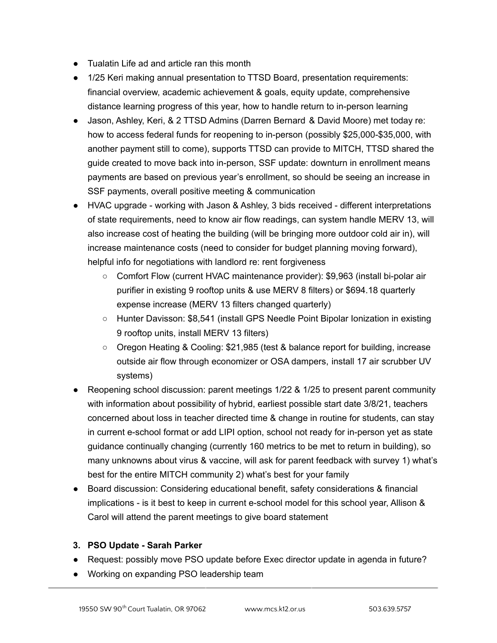- Tualatin Life ad and article ran this month
- 1/25 Keri making annual presentation to TTSD Board, presentation requirements: financial overview, academic achievement & goals, equity update, comprehensive distance learning progress of this year, how to handle return to in-person learning
- Jason, Ashley, Keri, & 2 TTSD Admins (Darren Bernard & David Moore) met today re: how to access federal funds for reopening to in-person (possibly \$25,000-\$35,000, with another payment still to come), supports TTSD can provide to MITCH, TTSD shared the guide created to move back into in-person, SSF update: downturn in enrollment means payments are based on previous year's enrollment, so should be seeing an increase in SSF payments, overall positive meeting & communication
- HVAC upgrade working with Jason & Ashley, 3 bids received different interpretations of state requirements, need to know air flow readings, can system handle MERV 13, will also increase cost of heating the building (will be bringing more outdoor cold air in), will increase maintenance costs (need to consider for budget planning moving forward), helpful info for negotiations with landlord re: rent forgiveness
	- Comfort Flow (current HVAC maintenance provider): \$9,963 (install bi-polar air purifier in existing 9 rooftop units & use MERV 8 filters) or \$694.18 quarterly expense increase (MERV 13 filters changed quarterly)
	- Hunter Davisson: \$8,541 (install GPS Needle Point Bipolar Ionization in existing 9 rooftop units, install MERV 13 filters)
	- Oregon Heating & Cooling: \$21,985 (test & balance report for building, increase outside air flow through economizer or OSA dampers, install 17 air scrubber UV systems)
- Reopening school discussion: parent meetings 1/22 & 1/25 to present parent community with information about possibility of hybrid, earliest possible start date 3/8/21, teachers concerned about loss in teacher directed time & change in routine for students, can stay in current e-school format or add LIPI option, school not ready for in-person yet as state guidance continually changing (currently 160 metrics to be met to return in building), so many unknowns about virus & vaccine, will ask for parent feedback with survey 1) what's best for the entire MITCH community 2) what's best for your family
- Board discussion: Considering educational benefit, safety considerations & financial implications - is it best to keep in current e-school model for this school year, Allison & Carol will attend the parent meetings to give board statement
- **3. PSO Update - Sarah Parker**
- Request: possibly move PSO update before Exec director update in agenda in future?
- Working on expanding PSO leadership team